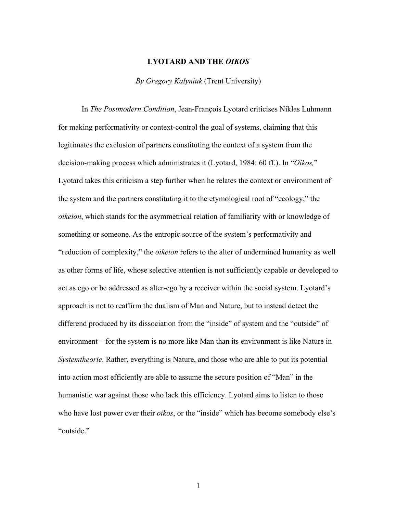## **LYOTARD AND THE** *OIKOS*

## *By Gregory Kalyniuk* (Trent University)

In *The Postmodern Condition*, Jean-François Lyotard criticises Niklas Luhmann for making performativity or context-control the goal of systems, claiming that this legitimates the exclusion of partners constituting the context of a system from the decision-making process which administrates it (Lyotard, 1984: 60 ff.). In "*Oikos,*" Lyotard takes this criticism a step further when he relates the context or environment of the system and the partners constituting it to the etymological root of "ecology," the *oikeion*, which stands for the asymmetrical relation of familiarity with or knowledge of something or someone. As the entropic source of the system's performativity and "reduction of complexity," the *oikeion* refers to the alter of undermined humanity as well as other forms of life, whose selective attention is not sufficiently capable or developed to act as ego or be addressed as alter-ego by a receiver within the social system. Lyotard's approach is not to reaffirm the dualism of Man and Nature, but to instead detect the differend produced by its dissociation from the "inside" of system and the "outside" of environment – for the system is no more like Man than its environment is like Nature in *Systemtheorie*. Rather, everything is Nature, and those who are able to put its potential into action most efficiently are able to assume the secure position of "Man" in the humanistic war against those who lack this efficiency. Lyotard aims to listen to those who have lost power over their *oikos*, or the "inside" which has become somebody else's "outside."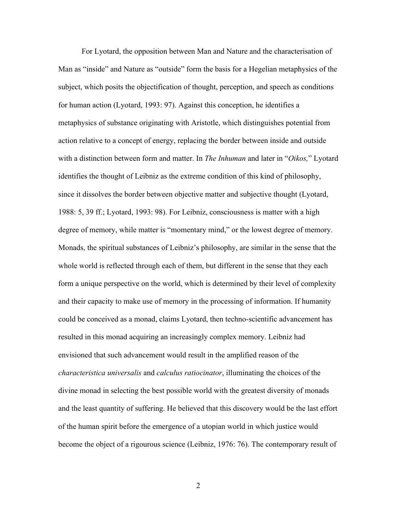For Lyotard, the opposition between Man and Nature and the characterisation of Man as "inside" and Nature as "outside" form the basis for a Hegelian metaphysics of the subject, which posits the objectification of thought, perception, and speech as conditions for human action (Lyotard, 1993: 97). Against this conception, he identifies a metaphysics of substance originating with Aristotle, which distinguishes potential from action relative to a concept of energy, replacing the border between inside and outside with a distinction between form and matter. In *The Inhuman* and later in "*Oikos,*" Lyotard identifies the thought of Leibniz as the extreme condition of this kind of philosophy, since it dissolves the border between objective matter and subjective thought (Lyotard, 1988: 5, 39 ff.; Lyotard, 1993: 98). For Leibniz, consciousness is matter with a high degree of memory, while matter is "momentary mind," or the lowest degree of memory. Monads, the spiritual substances of Leibniz's philosophy, are similar in the sense that the whole world is reflected through each of them, but different in the sense that they each form a unique perspective on the world, which is determined by their level of complexity and their capacity to make use of memory in the processing of information. If humanity could be conceived as a monad, claims Lyotard, then techno-scientific advancement has resulted in this monad acquiring an increasingly complex memory. Leibniz had envisioned that such advancement would result in the amplified reason of the *characteristica universalis* and *calculus ratiocinator*, illuminating the choices of the divine monad in selecting the best possible world with the greatest diversity of monads and the least quantity of suffering. He believed that this discovery would be the last effort of the human spirit before the emergence of a utopian world in which justice would become the object of a rigourous science (Leibniz, 1976: 76). The contemporary result of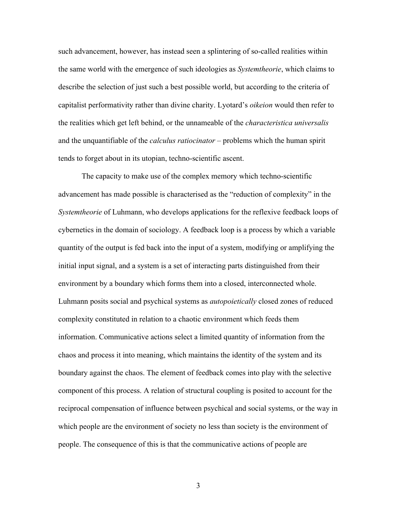such advancement, however, has instead seen a splintering of so-called realities within the same world with the emergence of such ideologies as *Systemtheorie*, which claims to describe the selection of just such a best possible world, but according to the criteria of capitalist performativity rather than divine charity. Lyotard's *oikeion* would then refer to the realities which get left behind, or the unnameable of the *characteristica universalis* and the unquantifiable of the *calculus ratiocinator* – problems which the human spirit tends to forget about in its utopian, techno-scientific ascent.

The capacity to make use of the complex memory which techno-scientific advancement has made possible is characterised as the "reduction of complexity" in the *Systemtheorie* of Luhmann, who develops applications for the reflexive feedback loops of cybernetics in the domain of sociology. A feedback loop is a process by which a variable quantity of the output is fed back into the input of a system, modifying or amplifying the initial input signal, and a system is a set of interacting parts distinguished from their environment by a boundary which forms them into a closed, interconnected whole. Luhmann posits social and psychical systems as *autopoietically* closed zones of reduced complexity constituted in relation to a chaotic environment which feeds them information. Communicative actions select a limited quantity of information from the chaos and process it into meaning, which maintains the identity of the system and its boundary against the chaos. The element of feedback comes into play with the selective component of this process. A relation of structural coupling is posited to account for the reciprocal compensation of influence between psychical and social systems, or the way in which people are the environment of society no less than society is the environment of people. The consequence of this is that the communicative actions of people are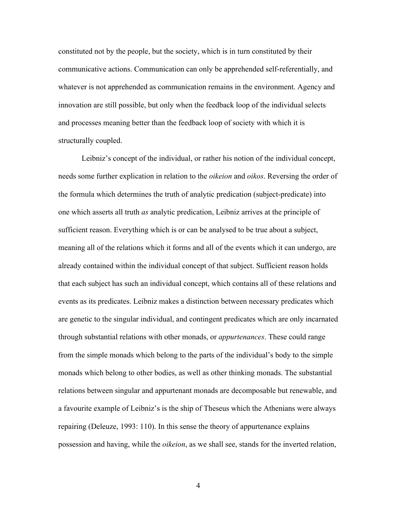constituted not by the people, but the society, which is in turn constituted by their communicative actions. Communication can only be apprehended self-referentially, and whatever is not apprehended as communication remains in the environment. Agency and innovation are still possible, but only when the feedback loop of the individual selects and processes meaning better than the feedback loop of society with which it is structurally coupled.

Leibniz's concept of the individual, or rather his notion of the individual concept, needs some further explication in relation to the *oikeion* and *oikos*. Reversing the order of the formula which determines the truth of analytic predication (subject-predicate) into one which asserts all truth *as* analytic predication, Leibniz arrives at the principle of sufficient reason. Everything which is or can be analysed to be true about a subject, meaning all of the relations which it forms and all of the events which it can undergo, are already contained within the individual concept of that subject. Sufficient reason holds that each subject has such an individual concept, which contains all of these relations and events as its predicates. Leibniz makes a distinction between necessary predicates which are genetic to the singular individual, and contingent predicates which are only incarnated through substantial relations with other monads, or *appurtenances*. These could range from the simple monads which belong to the parts of the individual's body to the simple monads which belong to other bodies, as well as other thinking monads. The substantial relations between singular and appurtenant monads are decomposable but renewable, and a favourite example of Leibniz's is the ship of Theseus which the Athenians were always repairing (Deleuze, 1993: 110). In this sense the theory of appurtenance explains possession and having, while the *oikeion*, as we shall see, stands for the inverted relation,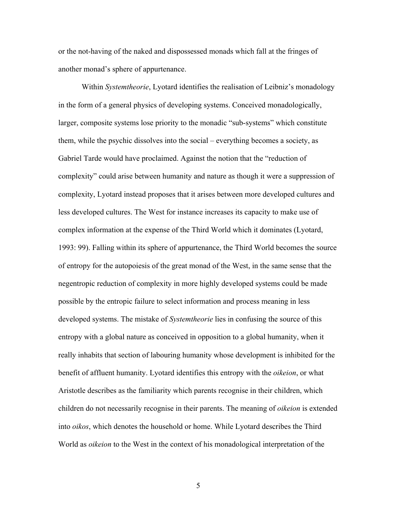or the not-having of the naked and dispossessed monads which fall at the fringes of another monad's sphere of appurtenance.

Within *Systemtheorie*, Lyotard identifies the realisation of Leibniz's monadology in the form of a general physics of developing systems. Conceived monadologically, larger, composite systems lose priority to the monadic "sub-systems" which constitute them, while the psychic dissolves into the social – everything becomes a society, as Gabriel Tarde would have proclaimed. Against the notion that the "reduction of complexity" could arise between humanity and nature as though it were a suppression of complexity, Lyotard instead proposes that it arises between more developed cultures and less developed cultures. The West for instance increases its capacity to make use of complex information at the expense of the Third World which it dominates (Lyotard, 1993: 99). Falling within its sphere of appurtenance, the Third World becomes the source of entropy for the autopoiesis of the great monad of the West, in the same sense that the negentropic reduction of complexity in more highly developed systems could be made possible by the entropic failure to select information and process meaning in less developed systems. The mistake of *Systemtheorie* lies in confusing the source of this entropy with a global nature as conceived in opposition to a global humanity, when it really inhabits that section of labouring humanity whose development is inhibited for the benefit of affluent humanity. Lyotard identifies this entropy with the *oikeion*, or what Aristotle describes as the familiarity which parents recognise in their children, which children do not necessarily recognise in their parents. The meaning of *oikeion* is extended into *oikos*, which denotes the household or home. While Lyotard describes the Third World as *oikeion* to the West in the context of his monadological interpretation of the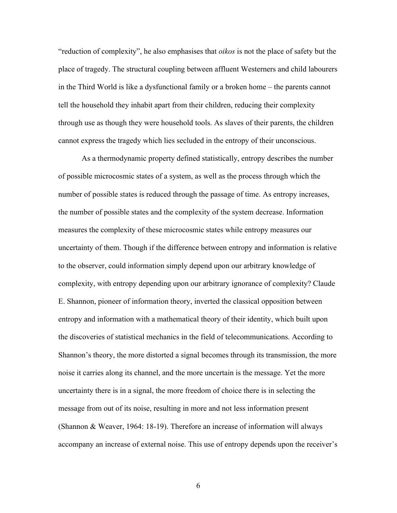"reduction of complexity", he also emphasises that *oikos* is not the place of safety but the place of tragedy. The structural coupling between affluent Westerners and child labourers in the Third World is like a dysfunctional family or a broken home – the parents cannot tell the household they inhabit apart from their children, reducing their complexity through use as though they were household tools. As slaves of their parents, the children cannot express the tragedy which lies secluded in the entropy of their unconscious.

As a thermodynamic property defined statistically, entropy describes the number of possible microcosmic states of a system, as well as the process through which the number of possible states is reduced through the passage of time. As entropy increases, the number of possible states and the complexity of the system decrease. Information measures the complexity of these microcosmic states while entropy measures our uncertainty of them. Though if the difference between entropy and information is relative to the observer, could information simply depend upon our arbitrary knowledge of complexity, with entropy depending upon our arbitrary ignorance of complexity? Claude E. Shannon, pioneer of information theory, inverted the classical opposition between entropy and information with a mathematical theory of their identity, which built upon the discoveries of statistical mechanics in the field of telecommunications. According to Shannon's theory, the more distorted a signal becomes through its transmission, the more noise it carries along its channel, and the more uncertain is the message. Yet the more uncertainty there is in a signal, the more freedom of choice there is in selecting the message from out of its noise, resulting in more and not less information present (Shannon & Weaver, 1964: 18-19). Therefore an increase of information will always accompany an increase of external noise. This use of entropy depends upon the receiver's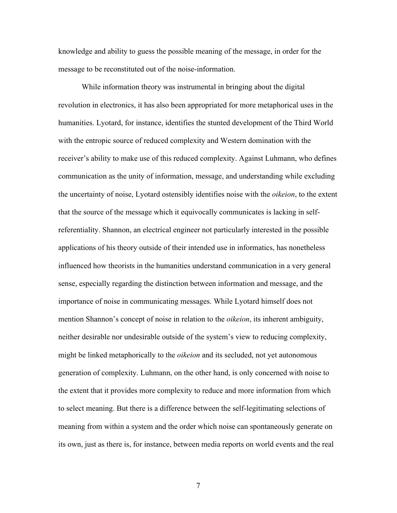knowledge and ability to guess the possible meaning of the message, in order for the message to be reconstituted out of the noise-information.

While information theory was instrumental in bringing about the digital revolution in electronics, it has also been appropriated for more metaphorical uses in the humanities. Lyotard, for instance, identifies the stunted development of the Third World with the entropic source of reduced complexity and Western domination with the receiver's ability to make use of this reduced complexity. Against Luhmann, who defines communication as the unity of information, message, and understanding while excluding the uncertainty of noise, Lyotard ostensibly identifies noise with the *oikeion*, to the extent that the source of the message which it equivocally communicates is lacking in selfreferentiality. Shannon, an electrical engineer not particularly interested in the possible applications of his theory outside of their intended use in informatics, has nonetheless influenced how theorists in the humanities understand communication in a very general sense, especially regarding the distinction between information and message, and the importance of noise in communicating messages. While Lyotard himself does not mention Shannon's concept of noise in relation to the *oikeion*, its inherent ambiguity, neither desirable nor undesirable outside of the system's view to reducing complexity, might be linked metaphorically to the *oikeion* and its secluded, not yet autonomous generation of complexity. Luhmann, on the other hand, is only concerned with noise to the extent that it provides more complexity to reduce and more information from which to select meaning. But there is a difference between the self-legitimating selections of meaning from within a system and the order which noise can spontaneously generate on its own, just as there is, for instance, between media reports on world events and the real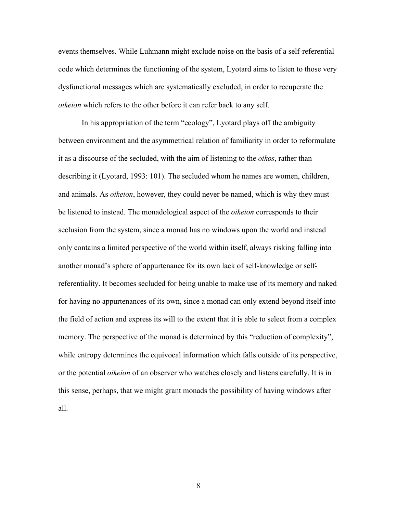events themselves. While Luhmann might exclude noise on the basis of a self-referential code which determines the functioning of the system, Lyotard aims to listen to those very dysfunctional messages which are systematically excluded, in order to recuperate the *oikeion* which refers to the other before it can refer back to any self.

In his appropriation of the term "ecology", Lyotard plays off the ambiguity between environment and the asymmetrical relation of familiarity in order to reformulate it as a discourse of the secluded, with the aim of listening to the *oikos*, rather than describing it (Lyotard, 1993: 101). The secluded whom he names are women, children, and animals. As *oikeion*, however, they could never be named, which is why they must be listened to instead. The monadological aspect of the *oikeion* corresponds to their seclusion from the system, since a monad has no windows upon the world and instead only contains a limited perspective of the world within itself, always risking falling into another monad's sphere of appurtenance for its own lack of self-knowledge or selfreferentiality. It becomes secluded for being unable to make use of its memory and naked for having no appurtenances of its own, since a monad can only extend beyond itself into the field of action and express its will to the extent that it is able to select from a complex memory. The perspective of the monad is determined by this "reduction of complexity", while entropy determines the equivocal information which falls outside of its perspective, or the potential *oikeion* of an observer who watches closely and listens carefully. It is in this sense, perhaps, that we might grant monads the possibility of having windows after all.